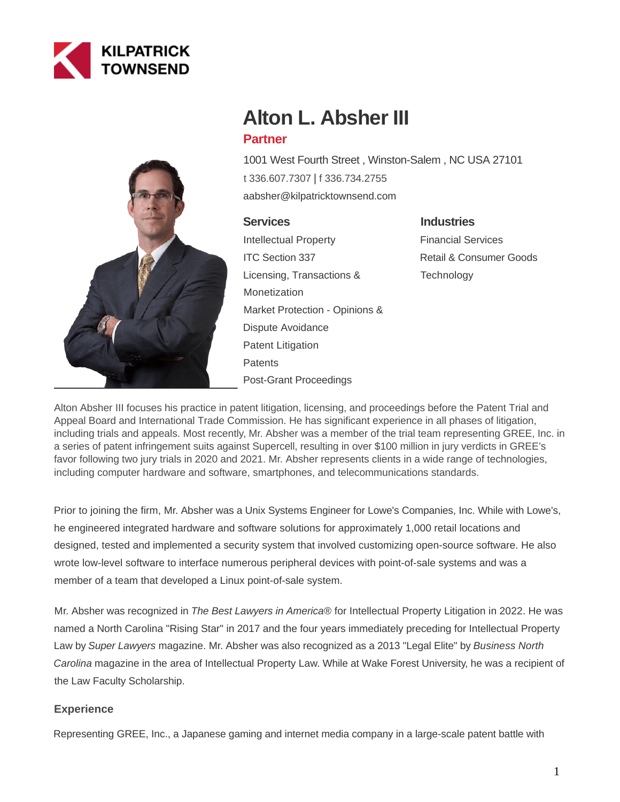



# **Alton L. Absher III**

## **Partner**

1001 West Fourth Street , Winston-Salem , NC USA 27101 [t 336.607.7307](tel:336.607.7307) | [f 336.734.2755](fax:336.734.2755) aabsher@kilpatricktownsend.com

## **Services**

Intellectual Property ITC Section 337 Licensing, Transactions & Monetization Market Protection - Opinions & Dispute Avoidance Patent Litigation **Patents** Post-Grant Proceedings

## **Industries**

Financial Services Retail & Consumer Goods **Technology** 

Alton Absher III focuses his practice in patent litigation, licensing, and proceedings before the Patent Trial and Appeal Board and International Trade Commission. He has significant experience in all phases of litigation, including trials and appeals. Most recently, Mr. Absher was a member of the trial team representing GREE, Inc. in a series of patent infringement suits against Supercell, resulting in over \$100 million in jury verdicts in GREE's favor following two jury trials in 2020 and 2021. Mr. Absher represents clients in a wide range of technologies, including computer hardware and software, smartphones, and telecommunications standards.

Prior to joining the firm, Mr. Absher was a Unix Systems Engineer for Lowe's Companies, Inc. While with Lowe's, he engineered integrated hardware and software solutions for approximately 1,000 retail locations and designed, tested and implemented a security system that involved customizing open-source software. He also wrote low-level software to interface numerous peripheral devices with point-of-sale systems and was a member of a team that developed a Linux point-of-sale system.

Mr. Absher was recognized in The Best Lawyers in America® for Intellectual Property Litigation in 2022. He was named a North Carolina "Rising Star" in 2017 and the four years immediately preceding for Intellectual Property Law by Super Lawyers magazine. Mr. Absher was also recognized as a 2013 "Legal Elite" by Business North Carolina magazine in the area of Intellectual Property Law. While at Wake Forest University, he was a recipient of the Law Faculty Scholarship.

## **Experience**

Representing GREE, Inc., a Japanese gaming and internet media company in a large-scale patent battle with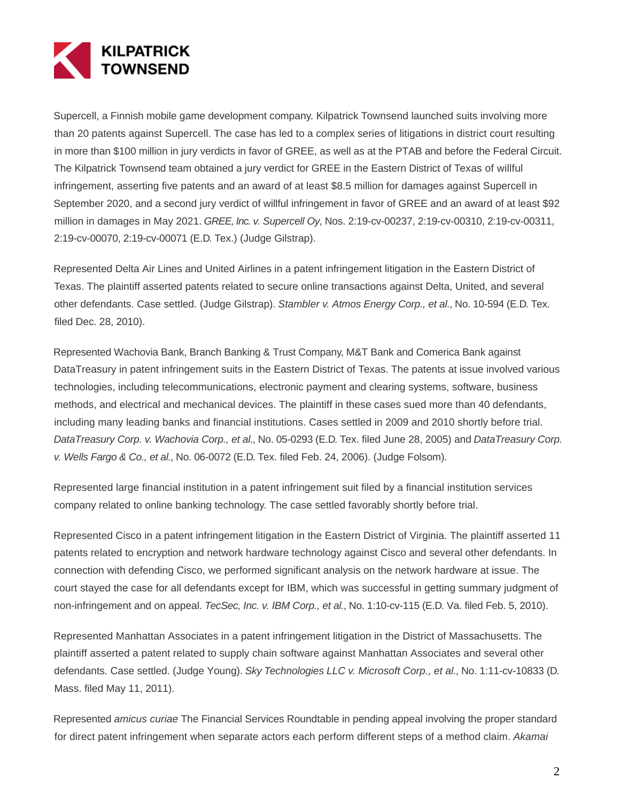

Supercell, a Finnish mobile game development company. Kilpatrick Townsend launched suits involving more than 20 patents against Supercell. The case has led to a complex series of litigations in district court resulting in more than \$100 million in jury verdicts in favor of GREE, as well as at the PTAB and before the Federal Circuit. The Kilpatrick Townsend team obtained a jury verdict for GREE in the Eastern District of Texas of willful infringement, asserting five patents and an award of at least \$8.5 million for damages against Supercell in September 2020, and a second jury verdict of willful infringement in favor of GREE and an award of at least \$92 million in damages in May 2021. GREE, Inc. v. Supercell Oy, Nos. 2:19-cv-00237, 2:19-cv-00310, 2:19-cv-00311, 2:19-cv-00070, 2:19-cv-00071 (E.D. Tex.) (Judge Gilstrap).

Represented Delta Air Lines and United Airlines in a patent infringement litigation in the Eastern District of Texas. The plaintiff asserted patents related to secure online transactions against Delta, United, and several other defendants. Case settled. (Judge Gilstrap). Stambler v. Atmos Energy Corp., et al., No. 10-594 (E.D. Tex. filed Dec. 28, 2010).

Represented Wachovia Bank, Branch Banking & Trust Company, M&T Bank and Comerica Bank against DataTreasury in patent infringement suits in the Eastern District of Texas. The patents at issue involved various technologies, including telecommunications, electronic payment and clearing systems, software, business methods, and electrical and mechanical devices. The plaintiff in these cases sued more than 40 defendants, including many leading banks and financial institutions. Cases settled in 2009 and 2010 shortly before trial. DataTreasury Corp. v. Wachovia Corp., et al., No. 05-0293 (E.D. Tex. filed June 28, 2005) and DataTreasury Corp. v. Wells Fargo & Co., et al., No. 06-0072 (E.D. Tex. filed Feb. 24, 2006). (Judge Folsom).

Represented large financial institution in a patent infringement suit filed by a financial institution services company related to online banking technology. The case settled favorably shortly before trial.

Represented Cisco in a patent infringement litigation in the Eastern District of Virginia. The plaintiff asserted 11 patents related to encryption and network hardware technology against Cisco and several other defendants. In connection with defending Cisco, we performed significant analysis on the network hardware at issue. The court stayed the case for all defendants except for IBM, which was successful in getting summary judgment of non-infringement and on appeal. TecSec, Inc. v. IBM Corp., et al., No. 1:10-cv-115 (E.D. Va. filed Feb. 5, 2010).

Represented Manhattan Associates in a patent infringement litigation in the District of Massachusetts. The plaintiff asserted a patent related to supply chain software against Manhattan Associates and several other defendants. Case settled. (Judge Young). Sky Technologies LLC v. Microsoft Corp., et al., No. 1:11-cv-10833 (D. Mass. filed May 11, 2011).

Represented *amicus curiae* The Financial Services Roundtable in pending appeal involving the proper standard for direct patent infringement when separate actors each perform different steps of a method claim. Akamai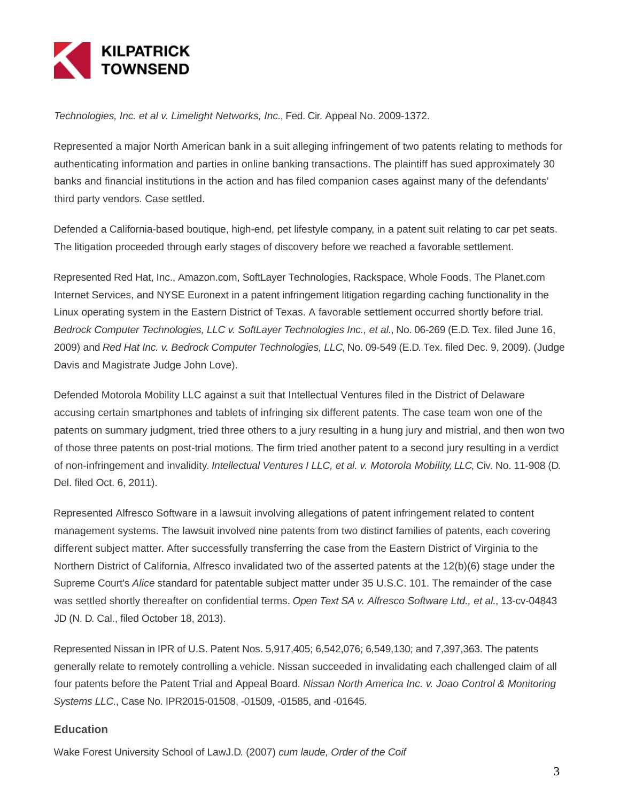

Technologies, Inc. et al v. Limelight Networks, Inc., Fed. Cir. Appeal No. 2009-1372.

Represented a major North American bank in a suit alleging infringement of two patents relating to methods for authenticating information and parties in online banking transactions. The plaintiff has sued approximately 30 banks and financial institutions in the action and has filed companion cases against many of the defendants' third party vendors. Case settled.

Defended a California-based boutique, high-end, pet lifestyle company, in a patent suit relating to car pet seats. The litigation proceeded through early stages of discovery before we reached a favorable settlement.

Represented Red Hat, Inc., Amazon.com, SoftLayer Technologies, Rackspace, Whole Foods, The Planet.com Internet Services, and NYSE Euronext in a patent infringement litigation regarding caching functionality in the Linux operating system in the Eastern District of Texas. A favorable settlement occurred shortly before trial. Bedrock Computer Technologies, LLC v. SoftLayer Technologies Inc., et al., No. 06-269 (E.D. Tex. filed June 16, 2009) and Red Hat Inc. v. Bedrock Computer Technologies, LLC, No. 09-549 (E.D. Tex. filed Dec. 9, 2009). (Judge Davis and Magistrate Judge John Love).

Defended Motorola Mobility LLC against a suit that Intellectual Ventures filed in the District of Delaware accusing certain smartphones and tablets of infringing six different patents. The case team won one of the patents on summary judgment, tried three others to a jury resulting in a hung jury and mistrial, and then won two of those three patents on post-trial motions. The firm tried another patent to a second jury resulting in a verdict of non-infringement and invalidity. Intellectual Ventures I LLC, et al. v. Motorola Mobility, LLC, Civ. No. 11-908 (D. Del. filed Oct. 6, 2011).

Represented Alfresco Software in a lawsuit involving allegations of patent infringement related to content management systems. The lawsuit involved nine patents from two distinct families of patents, each covering different subject matter. After successfully transferring the case from the Eastern District of Virginia to the Northern District of California, Alfresco invalidated two of the asserted patents at the 12(b)(6) stage under the Supreme Court's Alice standard for patentable subject matter under 35 U.S.C. 101. The remainder of the case was settled shortly thereafter on confidential terms. Open Text SA v. Alfresco Software Ltd., et al., 13-cv-04843 JD (N. D. Cal., filed October 18, 2013).

Represented Nissan in IPR of U.S. Patent Nos. 5,917,405; 6,542,076; 6,549,130; and 7,397,363. The patents generally relate to remotely controlling a vehicle. Nissan succeeded in invalidating each challenged claim of all four patents before the Patent Trial and Appeal Board. Nissan North America Inc. v. Joao Control & Monitoring Systems LLC., Case No. IPR2015-01508, -01509, -01585, and -01645.

#### **Education**

Wake Forest University School of LawJ.D. (2007) cum laude, Order of the Coif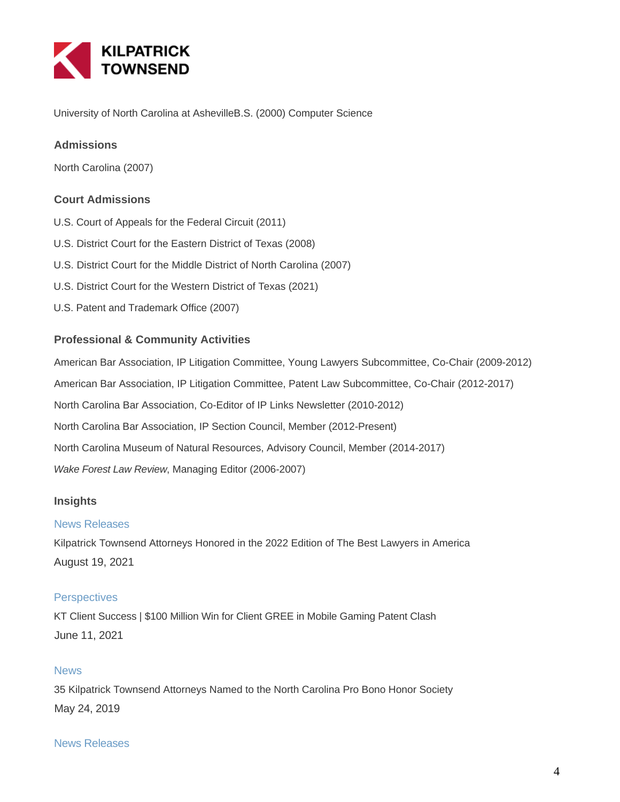

University of North Carolina at AshevilleB.S. (2000) Computer Science

### **Admissions**

North Carolina (2007)

#### **Court Admissions**

- U.S. Court of Appeals for the Federal Circuit (2011)
- U.S. District Court for the Eastern District of Texas (2008)
- U.S. District Court for the Middle District of North Carolina (2007)
- U.S. District Court for the Western District of Texas (2021)
- U.S. Patent and Trademark Office (2007)

#### **Professional & Community Activities**

American Bar Association, IP Litigation Committee, Young Lawyers Subcommittee, Co-Chair (2009-2012) American Bar Association, IP Litigation Committee, Patent Law Subcommittee, Co-Chair (2012-2017) North Carolina Bar Association, Co-Editor of IP Links Newsletter (2010-2012) North Carolina Bar Association, IP Section Council, Member (2012-Present) North Carolina Museum of Natural Resources, Advisory Council, Member (2014-2017) Wake Forest Law Review, Managing Editor (2006-2007)

#### **Insights**

#### News Releases

Kilpatrick Townsend Attorneys Honored in the 2022 Edition of The Best Lawyers in America August 19, 2021

#### **Perspectives**

KT Client Success | \$100 Million Win for Client GREE in Mobile Gaming Patent Clash June 11, 2021

#### **News**

35 Kilpatrick Townsend Attorneys Named to the North Carolina Pro Bono Honor Society May 24, 2019

#### News Releases